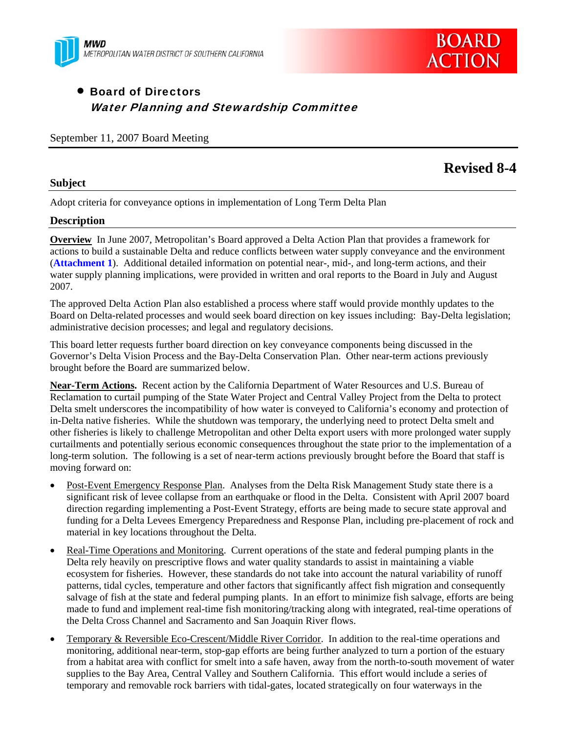



# Board of Directors Water Planning and Stewardship Committee

September 11, 2007 Board Meeting

# **Revised 8-4**

### **Subject**

Adopt criteria for conveyance options in implementation of Long Term Delta Plan

## **Description**

**Overview** In June 2007, Metropolitan's Board approved a Delta Action Plan that provides a framework for actions to build a sustainable Delta and reduce conflicts between water supply conveyance and the environment (**Attachment 1**). Additional detailed information on potential near-, mid-, and long-term actions, and their water supply planning implications, were provided in written and oral reports to the Board in July and August 2007.

The approved Delta Action Plan also established a process where staff would provide monthly updates to the Board on Delta-related processes and would seek board direction on key issues including: Bay-Delta legislation; administrative decision processes; and legal and regulatory decisions.

This board letter requests further board direction on key conveyance components being discussed in the Governor's Delta Vision Process and the Bay-Delta Conservation Plan. Other near-term actions previously brought before the Board are summarized below.

**Near-Term Actions.** Recent action by the California Department of Water Resources and U.S. Bureau of Reclamation to curtail pumping of the State Water Project and Central Valley Project from the Delta to protect Delta smelt underscores the incompatibility of how water is conveyed to California's economy and protection of in-Delta native fisheries. While the shutdown was temporary, the underlying need to protect Delta smelt and other fisheries is likely to challenge Metropolitan and other Delta export users with more prolonged water supply curtailments and potentially serious economic consequences throughout the state prior to the implementation of a long-term solution. The following is a set of near-term actions previously brought before the Board that staff is moving forward on:

- Post-Event Emergency Response Plan. Analyses from the Delta Risk Management Study state there is a significant risk of levee collapse from an earthquake or flood in the Delta. Consistent with April 2007 board direction regarding implementing a Post-Event Strategy, efforts are being made to secure state approval and funding for a Delta Levees Emergency Preparedness and Response Plan, including pre-placement of rock and material in key locations throughout the Delta.
- Real-Time Operations and Monitoring. Current operations of the state and federal pumping plants in the Delta rely heavily on prescriptive flows and water quality standards to assist in maintaining a viable ecosystem for fisheries. However, these standards do not take into account the natural variability of runoff patterns, tidal cycles, temperature and other factors that significantly affect fish migration and consequently salvage of fish at the state and federal pumping plants. In an effort to minimize fish salvage, efforts are being made to fund and implement real-time fish monitoring/tracking along with integrated, real-time operations of the Delta Cross Channel and Sacramento and San Joaquin River flows.
- Temporary & Reversible Eco-Crescent/Middle River Corridor. In addition to the real-time operations and monitoring, additional near-term, stop-gap efforts are being further analyzed to turn a portion of the estuary from a habitat area with conflict for smelt into a safe haven, away from the north-to-south movement of water supplies to the Bay Area, Central Valley and Southern California. This effort would include a series of temporary and removable rock barriers with tidal-gates, located strategically on four waterways in the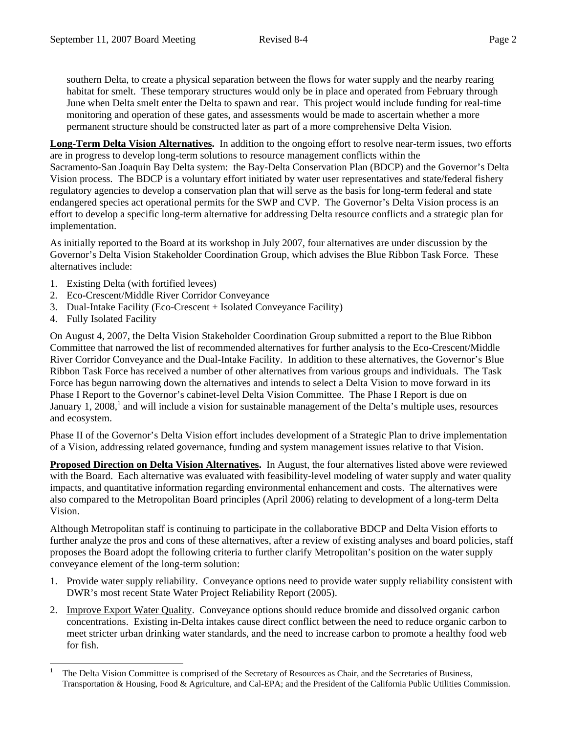southern Delta, to create a physical separation between the flows for water supply and the nearby rearing habitat for smelt. These temporary structures would only be in place and operated from February through June when Delta smelt enter the Delta to spawn and rear. This project would include funding for real-time monitoring and operation of these gates, and assessments would be made to ascertain whether a more permanent structure should be constructed later as part of a more comprehensive Delta Vision.

**Long-Term Delta Vision Alternatives.** In addition to the ongoing effort to resolve near-term issues, two efforts are in progress to develop long-term solutions to resource management conflicts within the Sacramento-San Joaquin Bay Delta system: the Bay-Delta Conservation Plan (BDCP) and the Governor's Delta Vision process. The BDCP is a voluntary effort initiated by water user representatives and state/federal fishery regulatory agencies to develop a conservation plan that will serve as the basis for long-term federal and state endangered species act operational permits for the SWP and CVP. The Governor's Delta Vision process is an effort to develop a specific long-term alternative for addressing Delta resource conflicts and a strategic plan for implementation.

As initially reported to the Board at its workshop in July 2007, four alternatives are under discussion by the Governor's Delta Vision Stakeholder Coordination Group, which advises the Blue Ribbon Task Force. These alternatives include:

- 1. Existing Delta (with fortified levees)
- 2. Eco-Crescent/Middle River Corridor Conveyance
- 3. Dual-Intake Facility (Eco-Crescent + Isolated Conveyance Facility)
- 4. Fully Isolated Facility

On August 4, 2007, the Delta Vision Stakeholder Coordination Group submitted a report to the Blue Ribbon Committee that narrowed the list of recommended alternatives for further analysis to the Eco-Crescent/Middle River Corridor Conveyance and the Dual-Intake Facility. In addition to these alternatives, the Governor's Blue Ribbon Task Force has received a number of other alternatives from various groups and individuals. The Task Force has begun narrowing down the alternatives and intends to select a Delta Vision to move forward in its Phase I Report to the Governor's cabinet-level Delta Vision Committee. The Phase I Report is due on January 1, 2008,<sup>1</sup> and will include a vision for sustainable management of the Delta's multiple uses, resources and ecosystem.

Phase II of the Governor's Delta Vision effort includes development of a Strategic Plan to drive implementation of a Vision, addressing related governance, funding and system management issues relative to that Vision.

**Proposed Direction on Delta Vision Alternatives.** In August, the four alternatives listed above were reviewed with the Board. Each alternative was evaluated with feasibility-level modeling of water supply and water quality impacts, and quantitative information regarding environmental enhancement and costs. The alternatives were also compared to the Metropolitan Board principles (April 2006) relating to development of a long-term Delta Vision.

Although Metropolitan staff is continuing to participate in the collaborative BDCP and Delta Vision efforts to further analyze the pros and cons of these alternatives, after a review of existing analyses and board policies, staff proposes the Board adopt the following criteria to further clarify Metropolitan's position on the water supply conveyance element of the long-term solution:

- 1. Provide water supply reliability. Conveyance options need to provide water supply reliability consistent with DWR's most recent State Water Project Reliability Report (2005).
- 2. Improve Export Water Quality. Conveyance options should reduce bromide and dissolved organic carbon concentrations. Existing in-Delta intakes cause direct conflict between the need to reduce organic carbon to meet stricter urban drinking water standards, and the need to increase carbon to promote a healthy food web for fish.

 $\overline{a}$ 1 The Delta Vision Committee is comprised of the Secretary of Resources as Chair, and the Secretaries of Business, Transportation & Housing, Food & Agriculture, and Cal-EPA; and the President of the California Public Utilities Commission.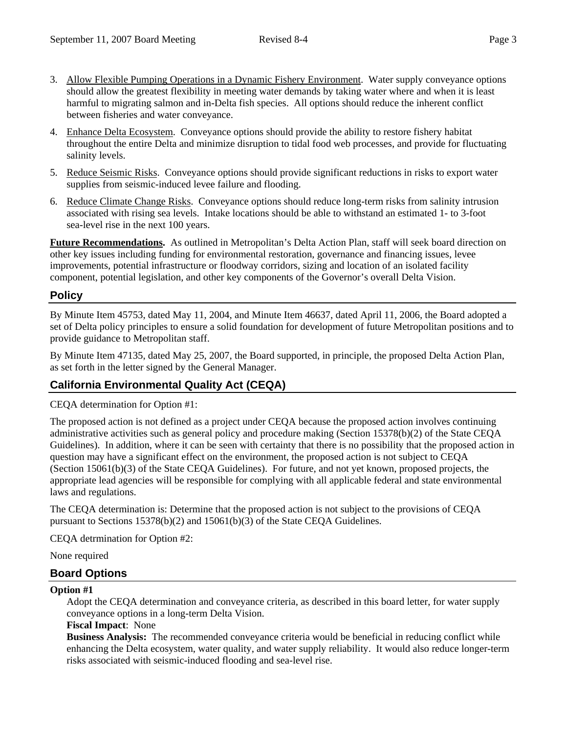- 
- 3. Allow Flexible Pumping Operations in a Dynamic Fishery Environment. Water supply conveyance options should allow the greatest flexibility in meeting water demands by taking water where and when it is least harmful to migrating salmon and in-Delta fish species. All options should reduce the inherent conflict between fisheries and water conveyance.
- 4. Enhance Delta Ecosystem. Conveyance options should provide the ability to restore fishery habitat throughout the entire Delta and minimize disruption to tidal food web processes, and provide for fluctuating salinity levels.
- 5. Reduce Seismic Risks. Conveyance options should provide significant reductions in risks to export water supplies from seismic-induced levee failure and flooding.
- 6. Reduce Climate Change Risks. Conveyance options should reduce long-term risks from salinity intrusion associated with rising sea levels. Intake locations should be able to withstand an estimated 1- to 3-foot sea-level rise in the next 100 years.

**Future Recommendations.** As outlined in Metropolitan's Delta Action Plan, staff will seek board direction on other key issues including funding for environmental restoration, governance and financing issues, levee improvements, potential infrastructure or floodway corridors, sizing and location of an isolated facility component, potential legislation, and other key components of the Governor's overall Delta Vision.

## **Policy**

By Minute Item 45753, dated May 11, 2004, and Minute Item 46637, dated April 11, 2006, the Board adopted a set of Delta policy principles to ensure a solid foundation for development of future Metropolitan positions and to provide guidance to Metropolitan staff.

By Minute Item 47135, dated May 25, 2007, the Board supported, in principle, the proposed Delta Action Plan, as set forth in the letter signed by the General Manager.

# **California Environmental Quality Act (CEQA)**

CEQA determination for Option #1:

The proposed action is not defined as a project under CEQA because the proposed action involves continuing administrative activities such as general policy and procedure making (Section 15378(b)(2) of the State CEQA Guidelines). In addition, where it can be seen with certainty that there is no possibility that the proposed action in question may have a significant effect on the environment, the proposed action is not subject to CEQA (Section 15061(b)(3) of the State CEQA Guidelines). For future, and not yet known, proposed projects, the appropriate lead agencies will be responsible for complying with all applicable federal and state environmental laws and regulations.

The CEQA determination is: Determine that the proposed action is not subject to the provisions of CEQA pursuant to Sections 15378(b)(2) and 15061(b)(3) of the State CEQA Guidelines.

CEQA detrmination for Option #2:

None required

## **Board Options**

### **Option #1**

Adopt the CEQA determination and conveyance criteria, as described in this board letter, for water supply conveyance options in a long-term Delta Vision.

### **Fiscal Impact**: None

**Business Analysis:** The recommended conveyance criteria would be beneficial in reducing conflict while enhancing the Delta ecosystem, water quality, and water supply reliability. It would also reduce longer-term risks associated with seismic-induced flooding and sea-level rise.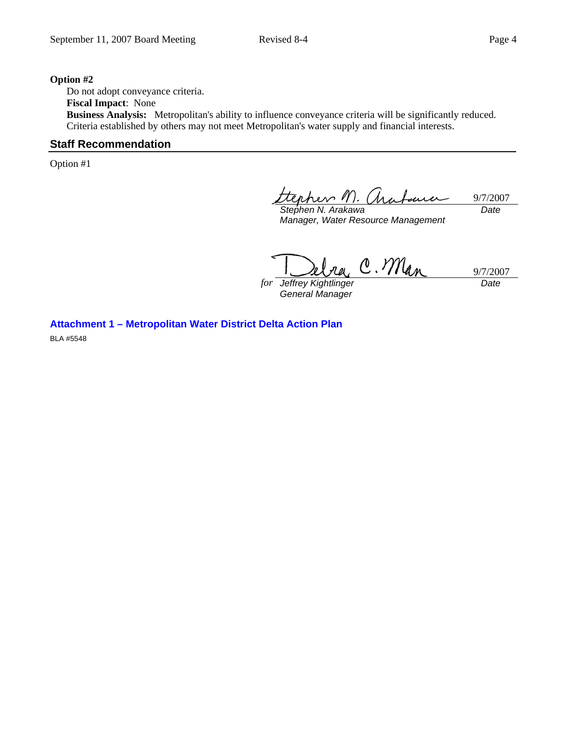#### **Option #2**

Do not adopt conveyance criteria. **Fiscal Impact**: None **Business Analysis:** Metropolitan's ability to influence conveyance criteria will be significantly reduced. Criteria established by others may not meet Metropolitan's water supply and financial interests.

## **Staff Recommendation**

Option #1

9/7/2007 *Date* 

*Stephen N. Arakawa Manager, Water Resource Management* 

C. Man 9/7/2007

*for Jeffrey Kightlinger General Manager* 

*Date* 

**Attachment 1 – Metropolitan Water District Delta Action Plan**  BLA #5548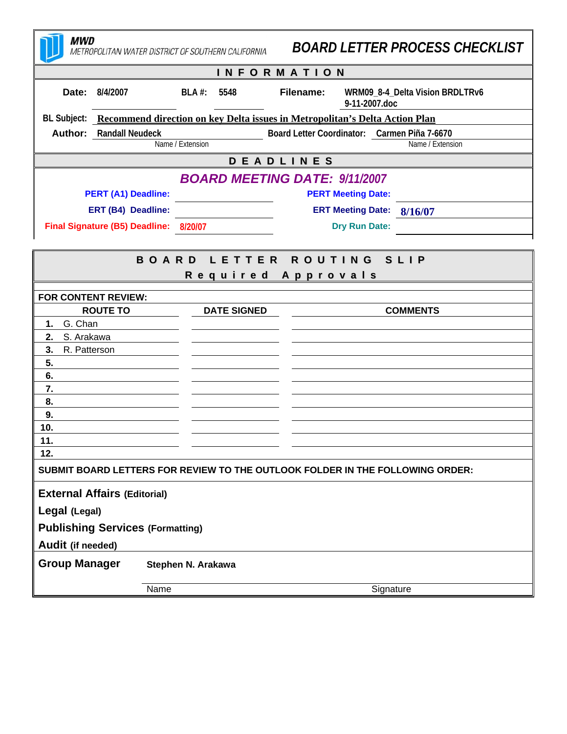| <b>MWD</b>                                                                              | METROPOLITAN WATER DISTRICT OF SOUTHERN CALIFORNIA | <b>BOARD LETTER PROCESS CHECKLIST</b>                             |  |  |
|-----------------------------------------------------------------------------------------|----------------------------------------------------|-------------------------------------------------------------------|--|--|
| <b>INFORMATION</b>                                                                      |                                                    |                                                                   |  |  |
| Date: 8/4/2007                                                                          | $BLA$ #:<br>5548                                   | WRM09_8-4_Delta Vision BRDLTRv6<br>Filename:<br>9-11-2007.doc     |  |  |
| BL Subject: Recommend direction on key Delta issues in Metropolitan's Delta Action Plan |                                                    |                                                                   |  |  |
| <b>Author:</b> Randall Neudeck                                                          |                                                    | Board Letter Coordinator: Carmen Piña 7-6670                      |  |  |
|                                                                                         | Name / Extension                                   | Name / Extension                                                  |  |  |
| <b>DEADLINES</b>                                                                        |                                                    |                                                                   |  |  |
| <b>PERT (A1) Deadline:</b>                                                              |                                                    | <b>BOARD MEETING DATE: 9/11/2007</b><br><b>PERT Meeting Date:</b> |  |  |
| ERT (B4) Deadline:                                                                      |                                                    | ERT Meeting Date: 8/16/07                                         |  |  |
| Final Signature (B5) Deadline: 8/20/07                                                  |                                                    | <b>Dry Run Date:</b>                                              |  |  |
|                                                                                         |                                                    |                                                                   |  |  |
| ROUTING SLIP<br><b>BOARD LETTER</b>                                                     |                                                    |                                                                   |  |  |
|                                                                                         |                                                    | Required Approvals                                                |  |  |
| FOR CONTENT REVIEW:                                                                     |                                                    |                                                                   |  |  |
| <b>ROUTE TO</b>                                                                         | <b>DATE SIGNED</b>                                 | <b>COMMENTS</b>                                                   |  |  |
| 1. G. Chan<br>S. Arakawa<br>2.                                                          |                                                    |                                                                   |  |  |
| 3.<br>R. Patterson                                                                      |                                                    |                                                                   |  |  |
| 5.                                                                                      |                                                    |                                                                   |  |  |
| 6.                                                                                      |                                                    |                                                                   |  |  |
| 7.                                                                                      |                                                    |                                                                   |  |  |
| 8.                                                                                      |                                                    |                                                                   |  |  |
| 9.<br>10.                                                                               |                                                    |                                                                   |  |  |
| 11.                                                                                     |                                                    |                                                                   |  |  |
| 12.                                                                                     |                                                    |                                                                   |  |  |
| SUBMIT BOARD LETTERS FOR REVIEW TO THE OUTLOOK FOLDER IN THE FOLLOWING ORDER:           |                                                    |                                                                   |  |  |
| <b>External Affairs (Editorial)</b>                                                     |                                                    |                                                                   |  |  |
| Legal (Legal)                                                                           |                                                    |                                                                   |  |  |
| <b>Publishing Services (Formatting)</b>                                                 |                                                    |                                                                   |  |  |
| Audit (if needed)                                                                       |                                                    |                                                                   |  |  |
| <b>Group Manager</b>                                                                    | Stephen N. Arakawa                                 |                                                                   |  |  |
|                                                                                         | Name                                               | Signature                                                         |  |  |